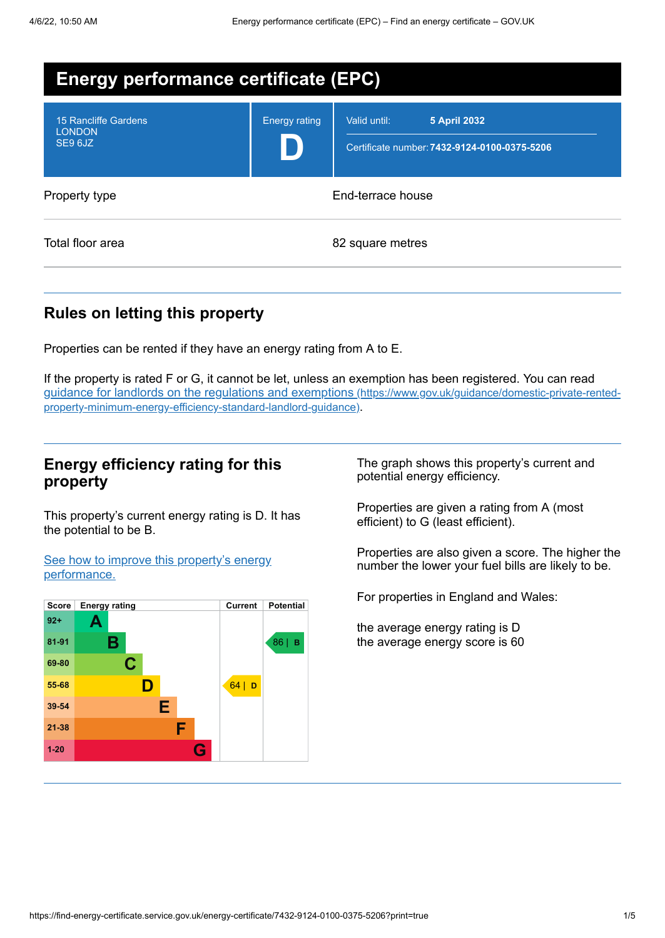| <b>Energy performance certificate (EPC)</b>             |                      |                                                                                     |  |  |
|---------------------------------------------------------|----------------------|-------------------------------------------------------------------------------------|--|--|
| <b>15 Rancliffe Gardens</b><br><b>LONDON</b><br>SE9 6JZ | <b>Energy rating</b> | Valid until:<br><b>5 April 2032</b><br>Certificate number: 7432-9124-0100-0375-5206 |  |  |
| Property type                                           | End-terrace house    |                                                                                     |  |  |
| Total floor area                                        | 82 square metres     |                                                                                     |  |  |

#### **Rules on letting this property**

Properties can be rented if they have an energy rating from A to E.

If the property is rated F or G, it cannot be let, unless an exemption has been registered. You can read guidance for landlords on the regulations and exemptions (https://www.gov.uk/guidance/domestic-private-rented[property-minimum-energy-efficiency-standard-landlord-guidance\)](https://www.gov.uk/guidance/domestic-private-rented-property-minimum-energy-efficiency-standard-landlord-guidance).

#### **Energy efficiency rating for this property**

This property's current energy rating is D. It has the potential to be B.

See how to improve this property's energy [performance.](#page-2-0)



The graph shows this property's current and potential energy efficiency.

Properties are given a rating from A (most efficient) to G (least efficient).

Properties are also given a score. The higher the number the lower your fuel bills are likely to be.

For properties in England and Wales:

the average energy rating is D the average energy score is 60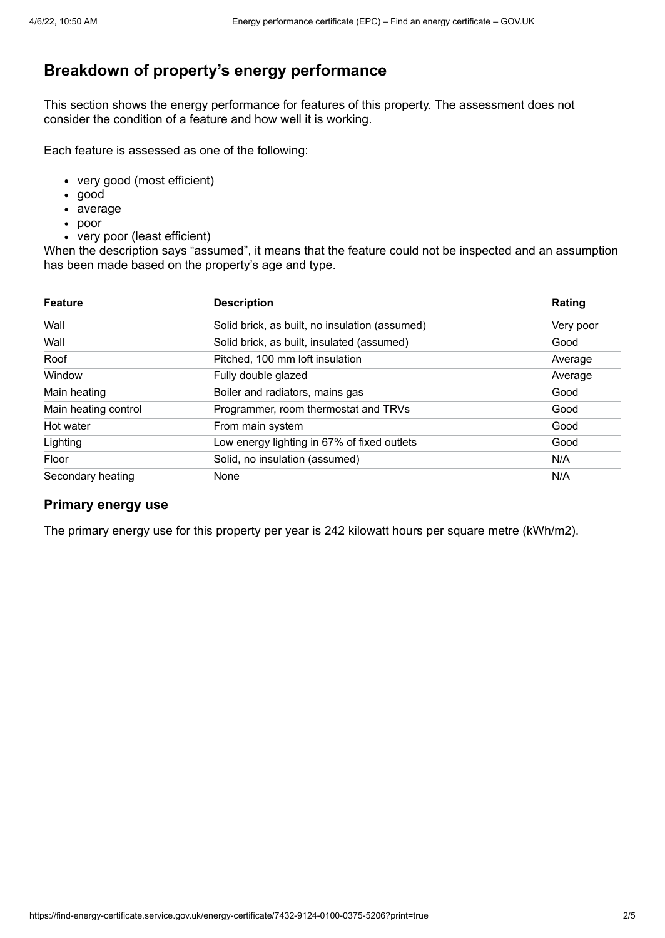# **Breakdown of property's energy performance**

This section shows the energy performance for features of this property. The assessment does not consider the condition of a feature and how well it is working.

Each feature is assessed as one of the following:

- very good (most efficient)
- good
- average
- poor
- very poor (least efficient)

When the description says "assumed", it means that the feature could not be inspected and an assumption has been made based on the property's age and type.

| <b>Feature</b>       | <b>Description</b>                             | Rating    |
|----------------------|------------------------------------------------|-----------|
| Wall                 | Solid brick, as built, no insulation (assumed) | Very poor |
| Wall                 | Solid brick, as built, insulated (assumed)     | Good      |
| Roof                 | Pitched, 100 mm loft insulation                | Average   |
| Window               | Fully double glazed                            | Average   |
| Main heating         | Boiler and radiators, mains gas                | Good      |
| Main heating control | Programmer, room thermostat and TRVs           | Good      |
| Hot water            | From main system                               | Good      |
| Lighting             | Low energy lighting in 67% of fixed outlets    | Good      |
| Floor                | Solid, no insulation (assumed)                 | N/A       |
| Secondary heating    | None                                           | N/A       |

#### **Primary energy use**

The primary energy use for this property per year is 242 kilowatt hours per square metre (kWh/m2).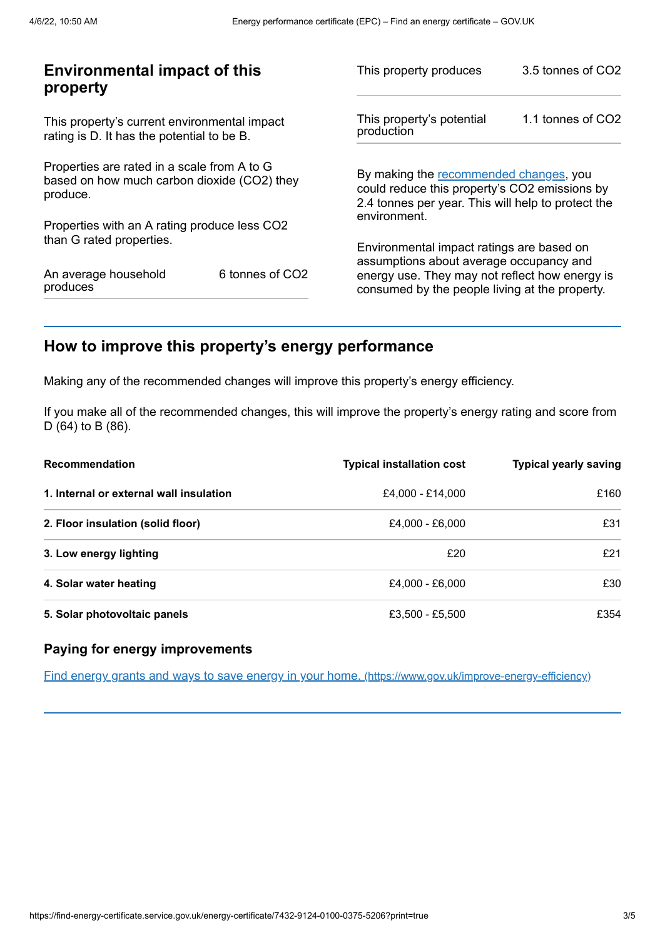| <b>Environmental impact of this</b><br>property                                                        |                             | This property produces                                                                                                                        | 3.5 tonnes of CO2 |
|--------------------------------------------------------------------------------------------------------|-----------------------------|-----------------------------------------------------------------------------------------------------------------------------------------------|-------------------|
| This property's current environmental impact<br>rating is D. It has the potential to be B.             |                             | This property's potential<br>production                                                                                                       | 1.1 tonnes of CO2 |
| Properties are rated in a scale from A to G<br>based on how much carbon dioxide (CO2) they<br>produce. |                             | By making the recommended changes, you<br>could reduce this property's CO2 emissions by<br>2.4 tonnes per year. This will help to protect the |                   |
| Properties with an A rating produce less CO2                                                           |                             | environment.                                                                                                                                  |                   |
| than G rated properties.                                                                               |                             | Environmental impact ratings are based on<br>assumptions about average occupancy and                                                          |                   |
| An average household<br>produces                                                                       | 6 tonnes of CO <sub>2</sub> | energy use. They may not reflect how energy is<br>consumed by the people living at the property.                                              |                   |
|                                                                                                        |                             |                                                                                                                                               |                   |

# <span id="page-2-0"></span>**How to improve this property's energy performance**

Making any of the recommended changes will improve this property's energy efficiency.

If you make all of the recommended changes, this will improve the property's energy rating and score from D (64) to B (86).

| Recommendation                          | <b>Typical installation cost</b> | <b>Typical yearly saving</b> |
|-----------------------------------------|----------------------------------|------------------------------|
| 1. Internal or external wall insulation | £4.000 - £14.000                 | £160                         |
| 2. Floor insulation (solid floor)       | £4,000 - £6,000                  | £31                          |
| 3. Low energy lighting                  | £20                              | £21                          |
| 4. Solar water heating                  | £4,000 - £6,000                  | £30                          |
| 5. Solar photovoltaic panels            | £3,500 - £5,500                  | £354                         |

## **Paying for energy improvements**

Find energy grants and ways to save energy in your home. [\(https://www.gov.uk/improve-energy-efficiency\)](https://www.gov.uk/improve-energy-efficiency)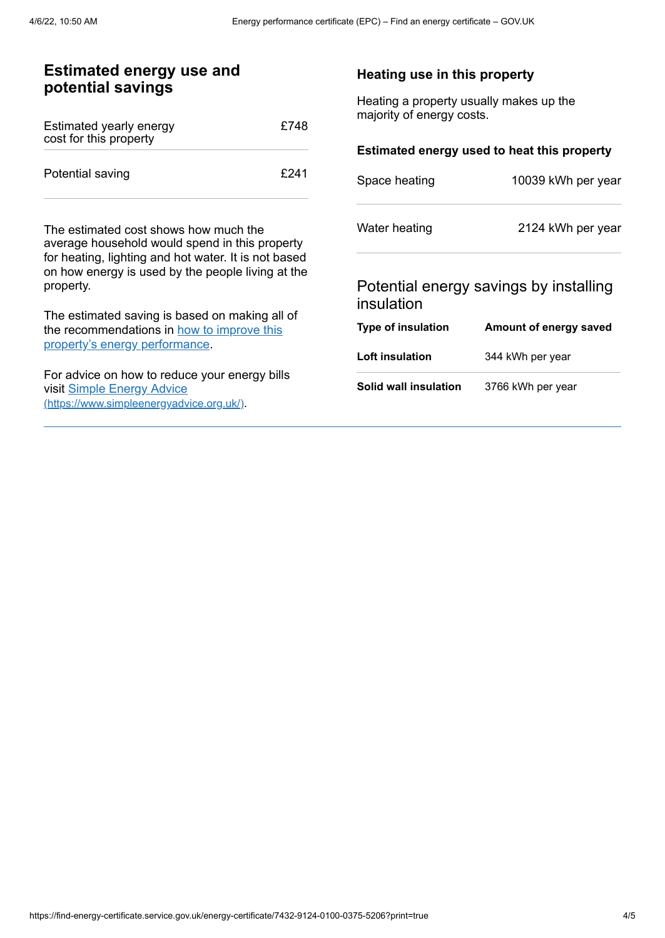| <b>Estimated energy use and</b><br>potential savings                                                                                                                                                              |                                                                      | Heating use in this property                |  |
|-------------------------------------------------------------------------------------------------------------------------------------------------------------------------------------------------------------------|----------------------------------------------------------------------|---------------------------------------------|--|
| £748                                                                                                                                                                                                              | Heating a property usually makes up the<br>majority of energy costs. |                                             |  |
|                                                                                                                                                                                                                   |                                                                      | Estimated energy used to heat this property |  |
| £241                                                                                                                                                                                                              | Space heating                                                        | 10039 kWh per year                          |  |
| The estimated cost shows how much the<br>average household would spend in this property<br>for heating, lighting and hot water. It is not based<br>on how energy is used by the people living at the<br>property. |                                                                      | 2124 kWh per year                           |  |
|                                                                                                                                                                                                                   |                                                                      | Potential energy savings by installing      |  |
|                                                                                                                                                                                                                   |                                                                      |                                             |  |
| the recommendations in how to improve this                                                                                                                                                                        | Type of insulation                                                   | Amount of energy saved                      |  |
|                                                                                                                                                                                                                   | Loft insulation                                                      | 344 kWh per year                            |  |
| For advice on how to reduce your energy bills<br>(https://www.simpleenergyadvice.org.uk/)                                                                                                                         | Solid wall insulation                                                | 3766 kWh per year                           |  |
|                                                                                                                                                                                                                   | The estimated saving is based on making all of                       | Water heating<br>insulation                 |  |